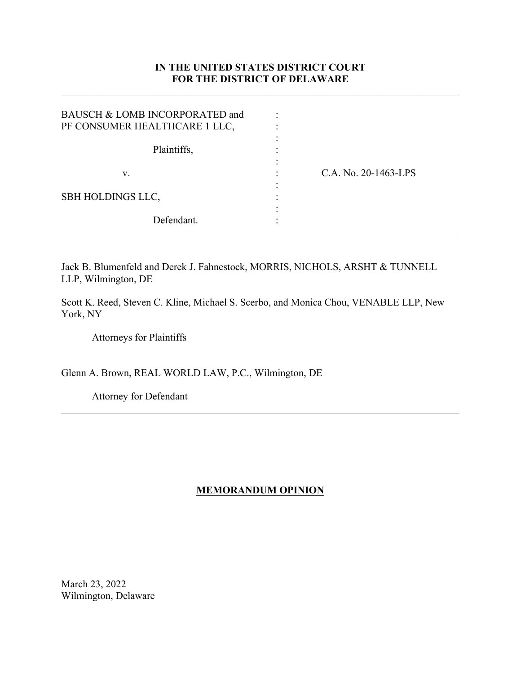# **IN THE UNITED STATES DISTRICT COURT FOR THE DISTRICT OF DELAWARE**

| BAUSCH & LOMB INCORPORATED and<br>PF CONSUMER HEALTHCARE 1 LLC, |                      |  |
|-----------------------------------------------------------------|----------------------|--|
| Plaintiffs,                                                     |                      |  |
| V.                                                              | C.A. No. 20-1463-LPS |  |
| <b>SBH HOLDINGS LLC,</b>                                        |                      |  |
| Defendant.                                                      |                      |  |

Jack B. Blumenfeld and Derek J. Fahnestock, MORRIS, NICHOLS, ARSHT & TUNNELL LLP, Wilmington, DE

Scott K. Reed, Steven C. Kline, Michael S. Scerbo, and Monica Chou, VENABLE LLP, New York, NY

Attorneys for Plaintiffs

Glenn A. Brown, REAL WORLD LAW, P.C., Wilmington, DE

Attorney for Defendant

# **MEMORANDUM OPINION**

 $\mathcal{L}_\mathcal{L} = \mathcal{L}_\mathcal{L} = \mathcal{L}_\mathcal{L} = \mathcal{L}_\mathcal{L} = \mathcal{L}_\mathcal{L} = \mathcal{L}_\mathcal{L} = \mathcal{L}_\mathcal{L} = \mathcal{L}_\mathcal{L} = \mathcal{L}_\mathcal{L} = \mathcal{L}_\mathcal{L} = \mathcal{L}_\mathcal{L} = \mathcal{L}_\mathcal{L} = \mathcal{L}_\mathcal{L} = \mathcal{L}_\mathcal{L} = \mathcal{L}_\mathcal{L} = \mathcal{L}_\mathcal{L} = \mathcal{L}_\mathcal{L}$ 

March 23, 2022 Wilmington, Delaware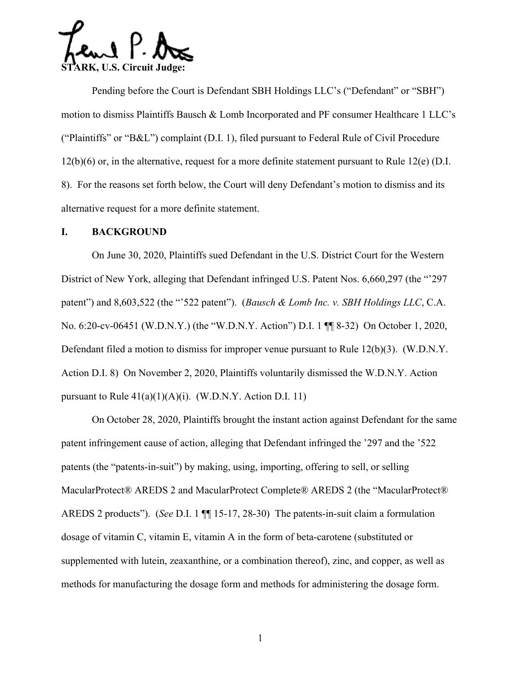$\Omega$   $\mathsf{P}$ . **STARK, U.S. Circuit Judge:** 

Pending before the Court is Defendant SBH Holdings LLC's ("Defendant" or "SBH") motion to dismiss Plaintiffs Bausch & Lomb Incorporated and PF consumer Healthcare 1 LLC's ("Plaintiffs" or "B&L") complaint (D.I. 1), filed pursuant to Federal Rule of Civil Procedure 12(b)(6) or, in the alternative, request for a more definite statement pursuant to Rule 12(e) (D.I. 8). For the reasons set forth below, the Court will deny Defendant's motion to dismiss and its alternative request for a more definite statement.

### **I. BACKGROUND**

On June 30, 2020, Plaintiffs sued Defendant in the U.S. District Court for the Western District of New York, alleging that Defendant infringed U.S. Patent Nos. 6,660,297 (the "'297 patent") and 8,603,522 (the "'522 patent"). (*Bausch & Lomb Inc. v. SBH Holdings LLC*, C.A. No. 6:20-cv-06451 (W.D.N.Y.) (the "W.D.N.Y. Action") D.I. 1 ¶¶ 8-32) On October 1, 2020, Defendant filed a motion to dismiss for improper venue pursuant to Rule 12(b)(3). (W.D.N.Y. Action D.I. 8) On November 2, 2020, Plaintiffs voluntarily dismissed the W.D.N.Y. Action pursuant to Rule  $41(a)(1)(A)(i)$ . (W.D.N.Y. Action D.I. 11)

On October 28, 2020, Plaintiffs brought the instant action against Defendant for the same patent infringement cause of action, alleging that Defendant infringed the '297 and the '522 patents (the "patents-in-suit") by making, using, importing, offering to sell, or selling MacularProtect® AREDS 2 and MacularProtect Complete® AREDS 2 (the "MacularProtect® AREDS 2 products"). (*See* D.I. 1 ¶¶ 15-17, 28-30) The patents-in-suit claim a formulation dosage of vitamin C, vitamin E, vitamin A in the form of beta-carotene (substituted or supplemented with lutein, zeaxanthine, or a combination thereof), zinc, and copper, as well as methods for manufacturing the dosage form and methods for administering the dosage form.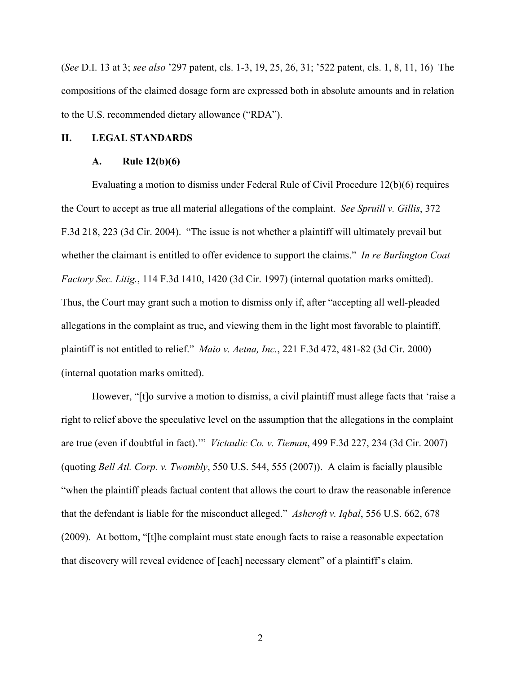(*See* D.I. 13 at 3; *see also* '297 patent, cls. 1-3, 19, 25, 26, 31; '522 patent, cls. 1, 8, 11, 16) The compositions of the claimed dosage form are expressed both in absolute amounts and in relation to the U.S. recommended dietary allowance ("RDA").

#### **II. LEGAL STANDARDS**

#### **A. Rule 12(b)(6)**

Evaluating a motion to dismiss under Federal Rule of Civil Procedure 12(b)(6) requires the Court to accept as true all material allegations of the complaint. *See Spruill v. Gillis*, 372 F.3d 218, 223 (3d Cir. 2004). "The issue is not whether a plaintiff will ultimately prevail but whether the claimant is entitled to offer evidence to support the claims." *In re Burlington Coat Factory Sec. Litig.*, 114 F.3d 1410, 1420 (3d Cir. 1997) (internal quotation marks omitted). Thus, the Court may grant such a motion to dismiss only if, after "accepting all well-pleaded allegations in the complaint as true, and viewing them in the light most favorable to plaintiff, plaintiff is not entitled to relief." *Maio v. Aetna, Inc.*, 221 F.3d 472, 481-82 (3d Cir. 2000) (internal quotation marks omitted).

 However, "[t]o survive a motion to dismiss, a civil plaintiff must allege facts that 'raise a right to relief above the speculative level on the assumption that the allegations in the complaint are true (even if doubtful in fact).'" *Victaulic Co. v. Tieman*, 499 F.3d 227, 234 (3d Cir. 2007) (quoting *Bell Atl. Corp. v. Twombly*, 550 U.S. 544, 555 (2007)). A claim is facially plausible "when the plaintiff pleads factual content that allows the court to draw the reasonable inference that the defendant is liable for the misconduct alleged." *Ashcroft v. Iqbal*, 556 U.S. 662, 678 (2009). At bottom, "[t]he complaint must state enough facts to raise a reasonable expectation that discovery will reveal evidence of [each] necessary element" of a plaintiff's claim.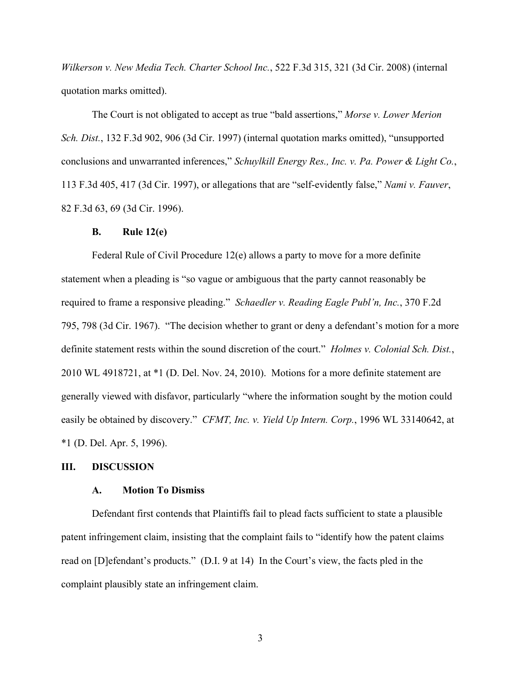*Wilkerson v. New Media Tech. Charter School Inc.*, 522 F.3d 315, 321 (3d Cir. 2008) (internal quotation marks omitted).

 The Court is not obligated to accept as true "bald assertions," *Morse v. Lower Merion Sch. Dist.*, 132 F.3d 902, 906 (3d Cir. 1997) (internal quotation marks omitted), "unsupported conclusions and unwarranted inferences," *Schuylkill Energy Res., Inc. v. Pa. Power & Light Co.*, 113 F.3d 405, 417 (3d Cir. 1997), or allegations that are "self-evidently false," *Nami v. Fauver*, 82 F.3d 63, 69 (3d Cir. 1996).

### **B. Rule 12(e)**

Federal Rule of Civil Procedure 12(e) allows a party to move for a more definite statement when a pleading is "so vague or ambiguous that the party cannot reasonably be required to frame a responsive pleading." *Schaedler v. Reading Eagle Publ'n, Inc.*, 370 F.2d 795, 798 (3d Cir. 1967). "The decision whether to grant or deny a defendant's motion for a more definite statement rests within the sound discretion of the court." *Holmes v. Colonial Sch. Dist.*, 2010 WL 4918721, at \*1 (D. Del. Nov. 24, 2010). Motions for a more definite statement are generally viewed with disfavor, particularly "where the information sought by the motion could easily be obtained by discovery." *CFMT, Inc. v. Yield Up Intern. Corp.*, 1996 WL 33140642, at \*1 (D. Del. Apr. 5, 1996).

### **III. DISCUSSION**

### **A. Motion To Dismiss**

Defendant first contends that Plaintiffs fail to plead facts sufficient to state a plausible patent infringement claim, insisting that the complaint fails to "identify how the patent claims read on [D]efendant's products." (D.I. 9 at 14) In the Court's view, the facts pled in the complaint plausibly state an infringement claim.

3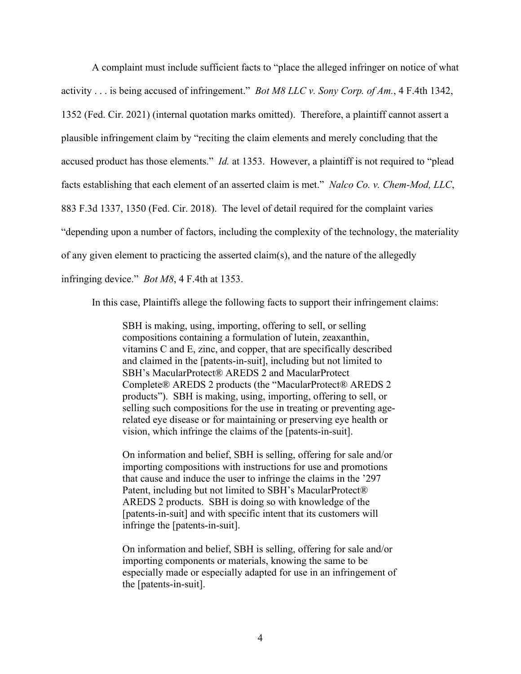A complaint must include sufficient facts to "place the alleged infringer on notice of what activity . . . is being accused of infringement." *Bot M8 LLC v. Sony Corp. of Am.*, 4 F.4th 1342, 1352 (Fed. Cir. 2021) (internal quotation marks omitted). Therefore, a plaintiff cannot assert a plausible infringement claim by "reciting the claim elements and merely concluding that the accused product has those elements." *Id.* at 1353. However, a plaintiff is not required to "plead facts establishing that each element of an asserted claim is met." *Nalco Co. v. Chem-Mod, LLC*, 883 F.3d 1337, 1350 (Fed. Cir. 2018). The level of detail required for the complaint varies "depending upon a number of factors, including the complexity of the technology, the materiality of any given element to practicing the asserted claim(s), and the nature of the allegedly infringing device." *Bot M8*, 4 F.4th at 1353.

In this case, Plaintiffs allege the following facts to support their infringement claims:

SBH is making, using, importing, offering to sell, or selling compositions containing a formulation of lutein, zeaxanthin, vitamins C and E, zinc, and copper, that are specifically described and claimed in the [patents-in-suit], including but not limited to SBH's MacularProtect® AREDS 2 and MacularProtect Complete® AREDS 2 products (the "MacularProtect® AREDS 2 products"). SBH is making, using, importing, offering to sell, or selling such compositions for the use in treating or preventing agerelated eye disease or for maintaining or preserving eye health or vision, which infringe the claims of the [patents-in-suit].

On information and belief, SBH is selling, offering for sale and/or importing compositions with instructions for use and promotions that cause and induce the user to infringe the claims in the '297 Patent, including but not limited to SBH's MacularProtect® AREDS 2 products. SBH is doing so with knowledge of the [patents-in-suit] and with specific intent that its customers will infringe the [patents-in-suit].

On information and belief, SBH is selling, offering for sale and/or importing components or materials, knowing the same to be especially made or especially adapted for use in an infringement of the [patents-in-suit].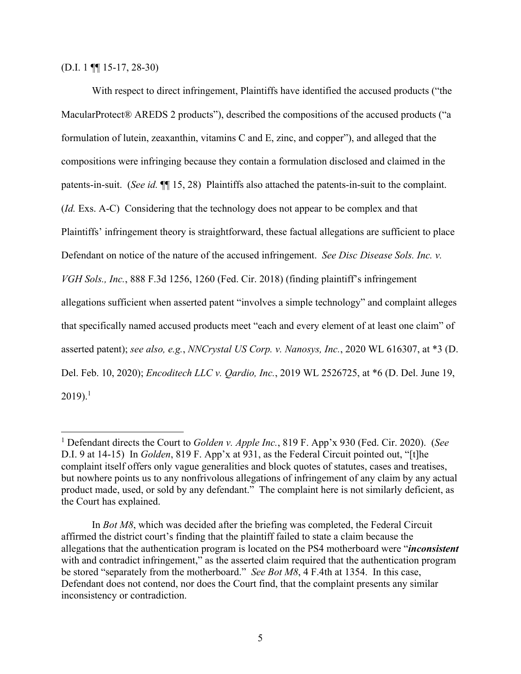(D.I. 1 ¶¶ 15-17, 28-30)

 With respect to direct infringement, Plaintiffs have identified the accused products ("the MacularProtect® AREDS 2 products"), described the compositions of the accused products ("a formulation of lutein, zeaxanthin, vitamins C and E, zinc, and copper"), and alleged that the compositions were infringing because they contain a formulation disclosed and claimed in the patents-in-suit. (*See id.* ¶¶ 15, 28) Plaintiffs also attached the patents-in-suit to the complaint. (*Id.* Exs. A-C) Considering that the technology does not appear to be complex and that Plaintiffs' infringement theory is straightforward, these factual allegations are sufficient to place Defendant on notice of the nature of the accused infringement. *See Disc Disease Sols. Inc. v. VGH Sols., Inc.*, 888 F.3d 1256, 1260 (Fed. Cir. 2018) (finding plaintiff's infringement allegations sufficient when asserted patent "involves a simple technology" and complaint alleges that specifically named accused products meet "each and every element of at least one claim" of asserted patent); *see also, e.g.*, *NNCrystal US Corp. v. Nanosys, Inc.*, 2020 WL 616307, at \*3 (D. Del. Feb. 10, 2020); *Encoditech LLC v. Qardio, Inc.*, 2019 WL 2526725, at \*6 (D. Del. June 19,  $2019$ ).<sup>1</sup>

<sup>1</sup> Defendant directs the Court to *Golden v. Apple Inc.*, 819 F. App'x 930 (Fed. Cir. 2020). (*See* D.I. 9 at 14-15) In *Golden*, 819 F. App'x at 931, as the Federal Circuit pointed out, "[t]he complaint itself offers only vague generalities and block quotes of statutes, cases and treatises, but nowhere points us to any nonfrivolous allegations of infringement of any claim by any actual product made, used, or sold by any defendant." The complaint here is not similarly deficient, as the Court has explained.

In *Bot M8*, which was decided after the briefing was completed, the Federal Circuit affirmed the district court's finding that the plaintiff failed to state a claim because the allegations that the authentication program is located on the PS4 motherboard were "*inconsistent* with and contradict infringement," as the asserted claim required that the authentication program be stored "separately from the motherboard." *See Bot M8*, 4 F.4th at 1354. In this case, Defendant does not contend, nor does the Court find, that the complaint presents any similar inconsistency or contradiction.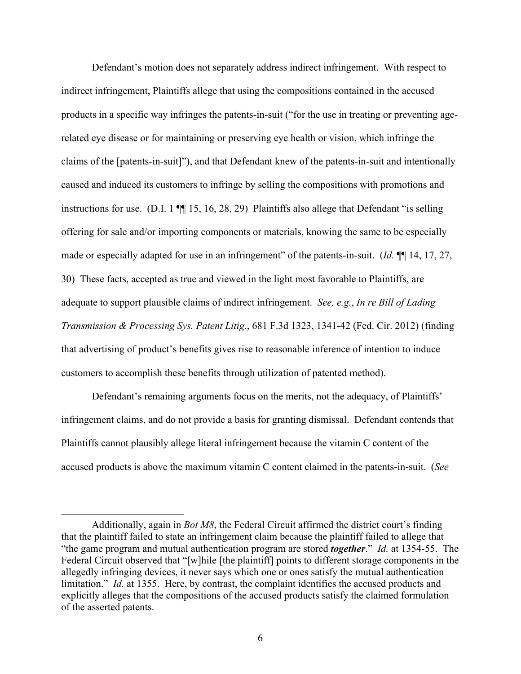Defendant's motion does not separately address indirect infringement. With respect to indirect infringement, Plaintiffs allege that using the compositions contained in the accused products in a specific way infringes the patents-in-suit ("for the use in treating or preventing agerelated eye disease or for maintaining or preserving eye health or vision, which infringe the claims of the [patents-in-suit]"), and that Defendant knew of the patents-in-suit and intentionally caused and induced its customers to infringe by selling the compositions with promotions and instructions for use. (D.I. 1 ¶¶ 15, 16, 28, 29) Plaintiffs also allege that Defendant "is selling offering for sale and/or importing components or materials, knowing the same to be especially made or especially adapted for use in an infringement" of the patents-in-suit. (*Id.* ¶¶ 14, 17, 27, 30) These facts, accepted as true and viewed in the light most favorable to Plaintiffs, are adequate to support plausible claims of indirect infringement. *See, e.g.*, *In re Bill of Lading Transmission & Processing Sys. Patent Litig.*, 681 F.3d 1323, 1341-42 (Fed. Cir. 2012) (finding that advertising of product's benefits gives rise to reasonable inference of intention to induce customers to accomplish these benefits through utilization of patented method).

Defendant's remaining arguments focus on the merits, not the adequacy, of Plaintiffs' infringement claims, and do not provide a basis for granting dismissal. Defendant contends that Plaintiffs cannot plausibly allege literal infringement because the vitamin C content of the accused products is above the maximum vitamin C content claimed in the patents-in-suit. (*See*

Additionally, again in *Bot M8*, the Federal Circuit affirmed the district court's finding that the plaintiff failed to state an infringement claim because the plaintiff failed to allege that "the game program and mutual authentication program are stored *together*." *Id.* at 1354-55. The Federal Circuit observed that "[w]hile [the plaintiff] points to different storage components in the allegedly infringing devices, it never says which one or ones satisfy the mutual authentication limitation." *Id.* at 1355. Here, by contrast, the complaint identifies the accused products and explicitly alleges that the compositions of the accused products satisfy the claimed formulation of the asserted patents.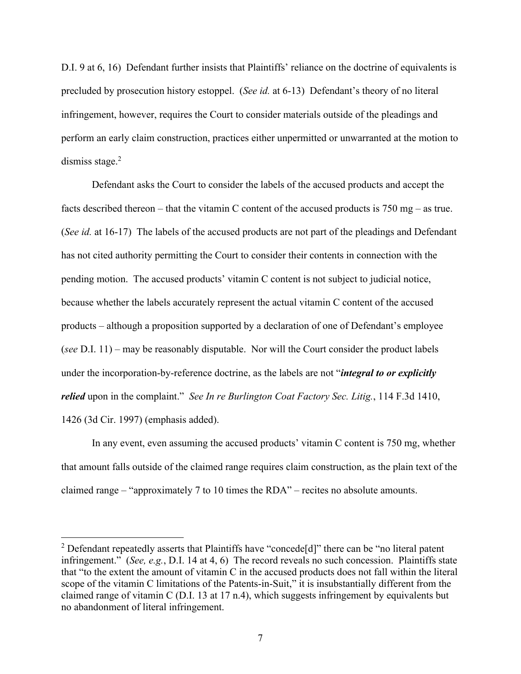D.I. 9 at 6, 16) Defendant further insists that Plaintiffs' reliance on the doctrine of equivalents is precluded by prosecution history estoppel. (*See id.* at 6-13) Defendant's theory of no literal infringement, however, requires the Court to consider materials outside of the pleadings and perform an early claim construction, practices either unpermitted or unwarranted at the motion to dismiss stage. $2$ 

Defendant asks the Court to consider the labels of the accused products and accept the facts described thereon – that the vitamin C content of the accused products is 750 mg – as true. (*See id.* at 16-17) The labels of the accused products are not part of the pleadings and Defendant has not cited authority permitting the Court to consider their contents in connection with the pending motion. The accused products' vitamin C content is not subject to judicial notice, because whether the labels accurately represent the actual vitamin C content of the accused products – although a proposition supported by a declaration of one of Defendant's employee (*see* D.I. 11) – may be reasonably disputable. Nor will the Court consider the product labels under the incorporation-by-reference doctrine, as the labels are not "*integral to or explicitly relied* upon in the complaint." *See In re Burlington Coat Factory Sec. Litig.*, 114 F.3d 1410, 1426 (3d Cir. 1997) (emphasis added).

In any event, even assuming the accused products' vitamin C content is 750 mg, whether that amount falls outside of the claimed range requires claim construction, as the plain text of the claimed range – "approximately 7 to 10 times the RDA" – recites no absolute amounts.

<sup>&</sup>lt;sup>2</sup> Defendant repeatedly asserts that Plaintiffs have "concede[d]" there can be "no literal patent infringement." (*See, e.g.*, D.I. 14 at 4, 6) The record reveals no such concession. Plaintiffs state that "to the extent the amount of vitamin C in the accused products does not fall within the literal scope of the vitamin C limitations of the Patents-in-Suit," it is insubstantially different from the claimed range of vitamin C (D.I. 13 at 17 n.4), which suggests infringement by equivalents but no abandonment of literal infringement.